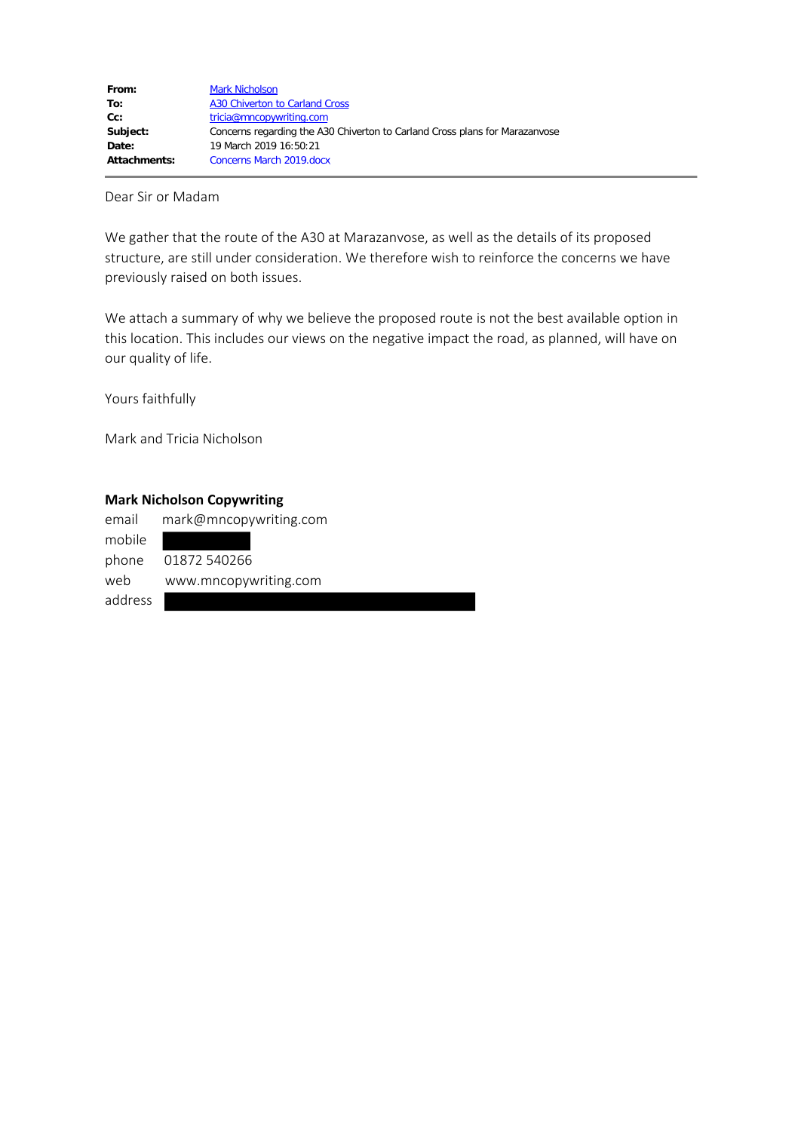Dear Sir or Madam

We gather that the route of the A30 at Marazanvose, as well as the details of its proposed structure, are still under consideration. We therefore wish to reinforce the concerns we have previously raised on both issues.

We attach a summary of why we believe the proposed route is not the best available option in this location. This includes our views on the negative impact the road, as planned, will have on our quality of life.

Yours faithfully

Mark and Tricia Nicholson

### **Mark Nicholson Copywriting**

| email   | mark@mncopywriting.com |
|---------|------------------------|
| mobile  |                        |
| phone   | 01872 540266           |
| web     | www.mncopywriting.com  |
| address |                        |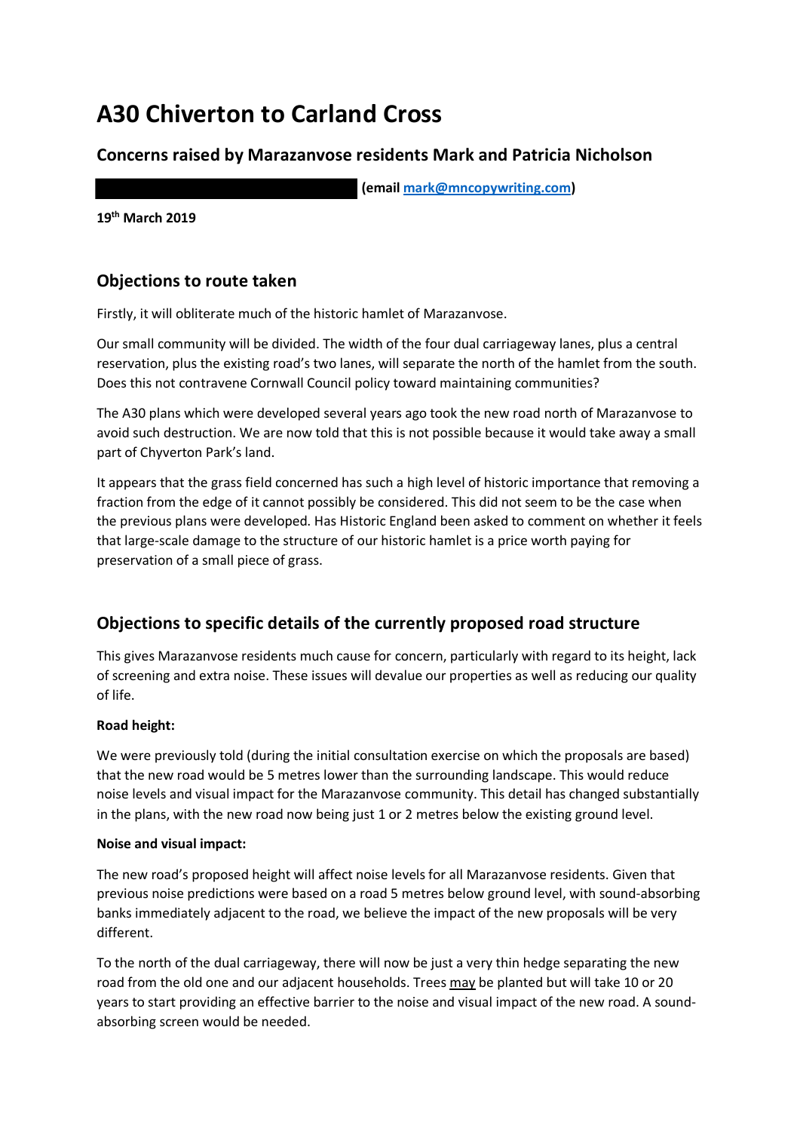# **A30 Chiverton to Carland Cross**

## **Concerns raised by Marazanvose residents Mark and Patricia Nicholson**

**(email [mark@mncopywriting.com\)](mailto:mark@mncopywriting.com)** 

**19th March 2019**

## **Objections to route taken**

Firstly, it will obliterate much of the historic hamlet of Marazanvose.

Our small community will be divided. The width of the four dual carriageway lanes, plus a central reservation, plus the existing road's two lanes, will separate the north of the hamlet from the south. Does this not contravene Cornwall Council policy toward maintaining communities?

The A30 plans which were developed several years ago took the new road north of Marazanvose to avoid such destruction. We are now told that this is not possible because it would take away a small part of Chyverton Park's land.

It appears that the grass field concerned has such a high level of historic importance that removing a fraction from the edge of it cannot possibly be considered. This did not seem to be the case when the previous plans were developed. Has Historic England been asked to comment on whether it feels that large-scale damage to the structure of our historic hamlet is a price worth paying for preservation of a small piece of grass.

# **Objections to specific details of the currently proposed road structure**

This gives Marazanvose residents much cause for concern, particularly with regard to its height, lack of screening and extra noise. These issues will devalue our properties as well as reducing our quality of life.

## **Road height:**

We were previously told (during the initial consultation exercise on which the proposals are based) that the new road would be 5 metres lower than the surrounding landscape. This would reduce noise levels and visual impact for the Marazanvose community. This detail has changed substantially in the plans, with the new road now being just 1 or 2 metres below the existing ground level.

## **Noise and visual impact:**

The new road's proposed height will affect noise levels for all Marazanvose residents. Given that previous noise predictions were based on a road 5 metres below ground level, with sound-absorbing banks immediately adjacent to the road, we believe the impact of the new proposals will be very different.

To the north of the dual carriageway, there will now be just a very thin hedge separating the new road from the old one and our adjacent households. Trees may be planted but will take 10 or 20 years to start providing an effective barrier to the noise and visual impact of the new road. A soundabsorbing screen would be needed.